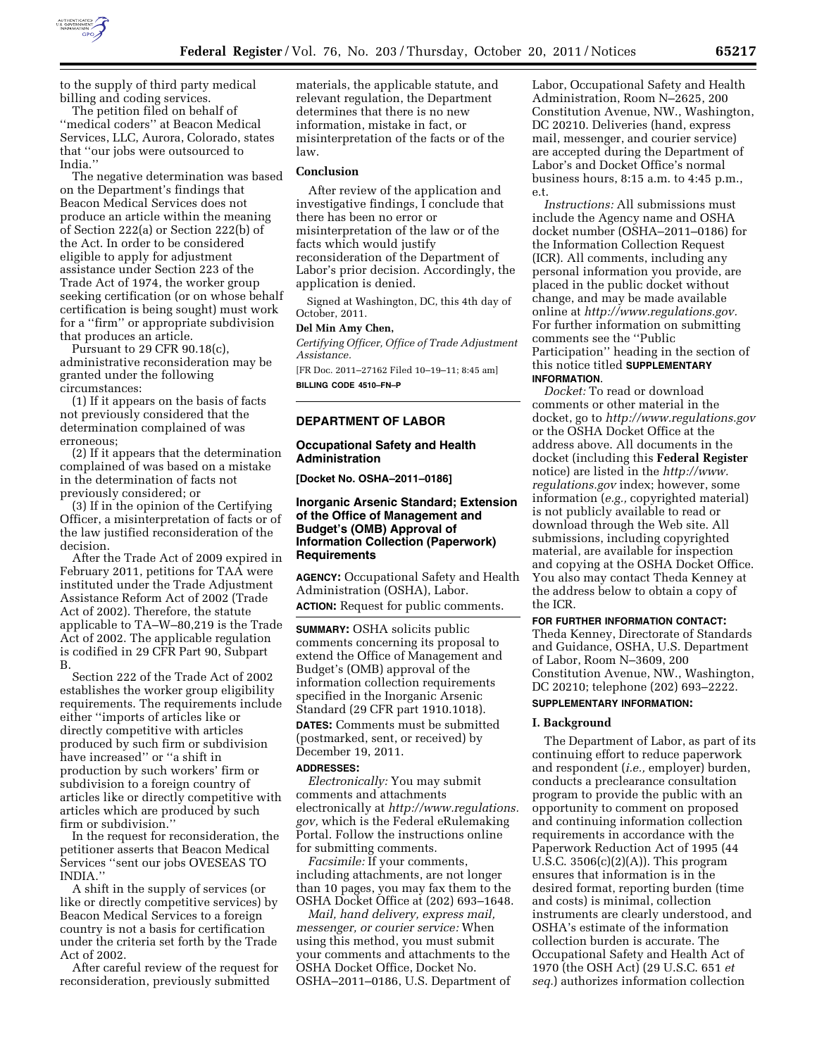

to the supply of third party medical billing and coding services.

The petition filed on behalf of ''medical coders'' at Beacon Medical Services, LLC, Aurora, Colorado, states that ''our jobs were outsourced to India.''

The negative determination was based on the Department's findings that Beacon Medical Services does not produce an article within the meaning of Section 222(a) or Section 222(b) of the Act. In order to be considered eligible to apply for adjustment assistance under Section 223 of the Trade Act of 1974, the worker group seeking certification (or on whose behalf certification is being sought) must work for a ''firm'' or appropriate subdivision that produces an article.

Pursuant to 29 CFR 90.18(c), administrative reconsideration may be granted under the following circumstances:

(1) If it appears on the basis of facts not previously considered that the determination complained of was erroneous;

(2) If it appears that the determination complained of was based on a mistake in the determination of facts not previously considered; or

(3) If in the opinion of the Certifying Officer, a misinterpretation of facts or of the law justified reconsideration of the decision.

After the Trade Act of 2009 expired in February 2011, petitions for TAA were instituted under the Trade Adjustment Assistance Reform Act of 2002 (Trade Act of 2002). Therefore, the statute applicable to TA–W–80,219 is the Trade Act of 2002. The applicable regulation is codified in 29 CFR Part 90, Subpart B.

Section 222 of the Trade Act of 2002 establishes the worker group eligibility requirements. The requirements include either ''imports of articles like or directly competitive with articles produced by such firm or subdivision have increased'' or ''a shift in production by such workers' firm or subdivision to a foreign country of articles like or directly competitive with articles which are produced by such firm or subdivision.''

In the request for reconsideration, the petitioner asserts that Beacon Medical Services ''sent our jobs OVESEAS TO INDIA.''

A shift in the supply of services (or like or directly competitive services) by Beacon Medical Services to a foreign country is not a basis for certification under the criteria set forth by the Trade Act of 2002.

After careful review of the request for reconsideration, previously submitted

materials, the applicable statute, and relevant regulation, the Department determines that there is no new information, mistake in fact, or misinterpretation of the facts or of the law.

#### **Conclusion**

After review of the application and investigative findings, I conclude that there has been no error or misinterpretation of the law or of the facts which would justify reconsideration of the Department of Labor's prior decision. Accordingly, the application is denied.

Signed at Washington, DC, this 4th day of October, 2011.

# **Del Min Amy Chen,**

*Certifying Officer, Office of Trade Adjustment Assistance.* 

[FR Doc. 2011–27162 Filed 10–19–11; 8:45 am] **BILLING CODE 4510–FN–P** 

#### **DEPARTMENT OF LABOR**

### **Occupational Safety and Health Administration**

**[Docket No. OSHA–2011–0186]** 

# **Inorganic Arsenic Standard; Extension of the Office of Management and Budget's (OMB) Approval of Information Collection (Paperwork) Requirements**

**AGENCY:** Occupational Safety and Health Administration (OSHA), Labor. **ACTION:** Request for public comments.

**SUMMARY:** OSHA solicits public comments concerning its proposal to extend the Office of Management and Budget's (OMB) approval of the information collection requirements specified in the Inorganic Arsenic Standard (29 CFR part 1910.1018).

**DATES:** Comments must be submitted (postmarked, sent, or received) by December 19, 2011.

# **ADDRESSES:**

*Electronically:* You may submit comments and attachments electronically at *[http://www.regulations.](http://www.regulations.gov) [gov,](http://www.regulations.gov)* which is the Federal eRulemaking Portal. Follow the instructions online for submitting comments.

*Facsimile:* If your comments, including attachments, are not longer than 10 pages, you may fax them to the OSHA Docket Office at (202) 693–1648.

*Mail, hand delivery, express mail, messenger, or courier service:* When using this method, you must submit your comments and attachments to the OSHA Docket Office, Docket No. OSHA–2011–0186, U.S. Department of Labor, Occupational Safety and Health Administration, Room N–2625, 200 Constitution Avenue, NW., Washington, DC 20210. Deliveries (hand, express mail, messenger, and courier service) are accepted during the Department of Labor's and Docket Office's normal business hours, 8:15 a.m. to 4:45 p.m., e.t.

*Instructions:* All submissions must include the Agency name and OSHA docket number (OSHA–2011–0186) for the Information Collection Request (ICR). All comments, including any personal information you provide, are placed in the public docket without change, and may be made available online at *[http://www.regulations.gov.](http://www.regulations.gov)*  For further information on submitting comments see the ''Public Participation'' heading in the section of this notice titled **SUPPLEMENTARY INFORMATION**.

*Docket:* To read or download comments or other material in the docket, go to *<http://www.regulations.gov>*  or the OSHA Docket Office at the address above. All documents in the docket (including this **Federal Register**  notice) are listed in the *[http://www.](http://www.regulations.gov) [regulations.gov](http://www.regulations.gov)* index; however, some information (*e.g.,* copyrighted material) is not publicly available to read or download through the Web site. All submissions, including copyrighted material, are available for inspection and copying at the OSHA Docket Office. You also may contact Theda Kenney at the address below to obtain a copy of the ICR.

**FOR FURTHER INFORMATION CONTACT:**  Theda Kenney, Directorate of Standards and Guidance, OSHA, U.S. Department of Labor, Room N–3609, 200 Constitution Avenue, NW., Washington, DC 20210; telephone (202) 693–2222. **SUPPLEMENTARY INFORMATION:** 

# **I. Background**

The Department of Labor, as part of its continuing effort to reduce paperwork and respondent (*i.e.,* employer) burden, conducts a preclearance consultation program to provide the public with an opportunity to comment on proposed and continuing information collection requirements in accordance with the Paperwork Reduction Act of 1995 (44 U.S.C.  $3506(c)(2)(A)$ . This program ensures that information is in the desired format, reporting burden (time and costs) is minimal, collection instruments are clearly understood, and OSHA's estimate of the information collection burden is accurate. The Occupational Safety and Health Act of 1970 (the OSH Act) (29 U.S.C. 651 *et seq.*) authorizes information collection